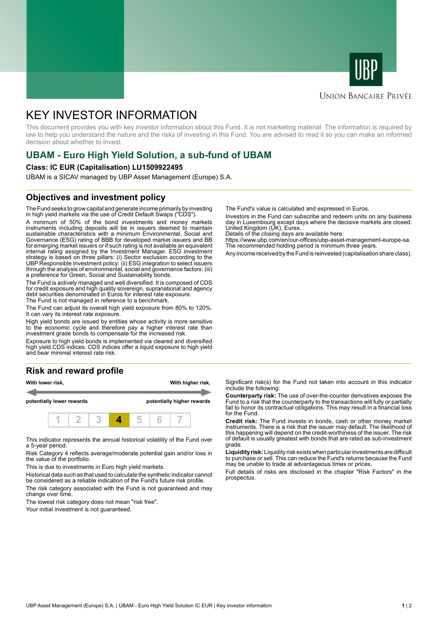



# **UNION BANCAIRE PRIVÉE**

# KEY INVESTOR INFORMATION

This document provides you with key investor information about this Fund. It is not marketing material. The information is required by law to help you understand the nature and the risks of investing in this Fund. You are advised to read it so you can make an informed decision about whether to invest.

# **UBAM - Euro High Yield Solution, a sub-fund of UBAM**

### **Class: IC EUR (Capitalisation) LU1509922495**

UBAM is a SICAV managed by UBP Asset Management (Europe) S.A.

# **Objectives and investment policy**

The Fund seeks to grow capital and generate income primarily by investing in high yield markets via the use of Credit Default Swaps ("CDS").

A minimum of 50% of the bond investments and money markets instruments including deposits will be in issuers deemed to maintain sustainable characteristics with a minimum Environmental, Social and Governance (ESG) rating of BBB for developed market issuers and BB for emerging market issuers or if such rating is not available an equivalent internal rating assigned by the Investment Manager. ESG investment strategy is based on three pillars: (i) Sector exclusion according to the UBP Responsible Investment policy; (ii) ESG integration to select issuers through the analysis of environmental, social and governance factors; (iii) a preference for Green, Social and Sustainability bonds.

The Fund is actively managed and well diversified. It is composed of CDS for credit exposure and high quality sovereign, supranational and agency debt securities denominated in Euros for interest rate exposure. The Fund is not managed in reference to a benchmark.

The Fund can adjust its overall high yield exposure from 80% to 120%. It can vary its interest rate exposure.

High yield bonds are issued by entities whose activity is more sensitive to the economic cycle and therefore pay a higher interest rate than investment grade bonds to compensate for the increased risk.

Exposure to high yield bonds is implemented via cleared and diversified high yield CDS indices. CDS indices offer a liquid exposure to high yield and bear minimal interest rate risk.

# **Risk and reward profile**



This indicator represents the annual historical volatility of the Fund over a 5-year period.

Risk Category 4 reflects average/moderate potential gain and/or loss in the value of the portfolio.

This is due to investments in Euro high yield markets.

Historical data such as that used to calculate the synthetic indicator cannot be considered as a reliable indication of the Fund's future risk profile. The risk category associated with the Fund is not guaranteed and may

change over time.

The lowest risk category does not mean "risk free".

Your initial investment is not guaranteed.

The Fund's value is calculated and expressed in Euros.

Investors in the Fund can subscribe and redeem units on any business day in Luxembourg except days where the decisive markets are closed: United Kingdom (UK), Eurex.

Details of the closing days are available here:

https://www.ubp.com/en/our-offices/ubp-asset-management-europe-sa. The recommended holding period is minimum three years.

Any income received by the Fund is reinvested (capitalisation share class).

Significant risk(s) for the Fund not taken into account in this indicator include the following:

**Counterparty risk:** The use of over-the-counter derivatives exposes the Fund to a risk that the counterparty to the transactions will fully or partially fail to honor its contractual obligations. This may result in a financial loss for the Fund.

**Credit risk:** The Fund invests in bonds, cash or other money market instruments. There is a risk that the issuer may default. The likelihood of this happening will depend on the credit-worthiness of the issuer. The risk of default is usually greatest with bonds that are rated as sub-investment grade.

**Liquidity risk:** Liquidity risk exists when particular investments are difficult to purchase or sell. This can reduce the Fund's returns because the Fund may be unable to trade at advantageous times or prices.

Full details of risks are disclosed in the chapter "Risk Factors" in the prospectus.